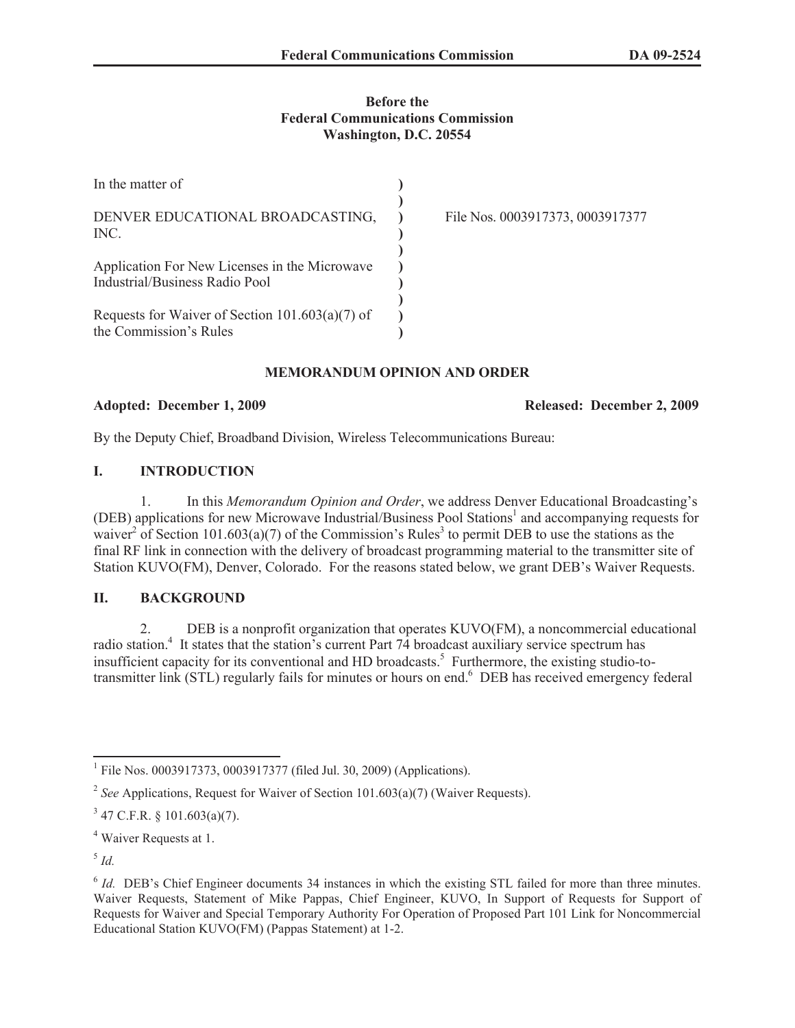## **Before the Federal Communications Commission Washington, D.C. 20554**

| In the matter of                                                                |                                  |
|---------------------------------------------------------------------------------|----------------------------------|
| DENVER EDUCATIONAL BROADCASTING,<br>INC.                                        | File Nos. 0003917373, 0003917377 |
| Application For New Licenses in the Microwave<br>Industrial/Business Radio Pool |                                  |
| Requests for Waiver of Section $101.603(a)(7)$ of<br>the Commission's Rules     |                                  |

## **MEMORANDUM OPINION AND ORDER**

#### **Adopted: December 1, 2009 Released: December 2, 2009**

By the Deputy Chief, Broadband Division, Wireless Telecommunications Bureau:

# **I. INTRODUCTION**

1. In this *Memorandum Opinion and Order*, we address Denver Educational Broadcasting's (DEB) applications for new Microwave Industrial/Business Pool Stations<sup>1</sup> and accompanying requests for waiver<sup>2</sup> of Section 101.603(a)(7) of the Commission's Rules<sup>3</sup> to permit DEB to use the stations as the final RF link in connection with the delivery of broadcast programming material to the transmitter site of Station KUVO(FM), Denver, Colorado. For the reasons stated below, we grant DEB's Waiver Requests.

## **II. BACKGROUND**

2. DEB is a nonprofit organization that operates KUVO(FM), a noncommercial educational radio station.<sup>4</sup> It states that the station's current Part 74 broadcast auxiliary service spectrum has insufficient capacity for its conventional and HD broadcasts.<sup>5</sup> Furthermore, the existing studio-totransmitter link (STL) regularly fails for minutes or hours on end.<sup>6</sup> DEB has received emergency federal

5 *Id.*

<sup>&</sup>lt;sup>1</sup> File Nos. 0003917373, 0003917377 (filed Jul. 30, 2009) (Applications).

<sup>&</sup>lt;sup>2</sup> See Applications, Request for Waiver of Section 101.603(a)(7) (Waiver Requests).

 $3$  47 C.F.R. § 101.603(a)(7).

<sup>4</sup> Waiver Requests at 1.

<sup>&</sup>lt;sup>6</sup> *Id.* DEB's Chief Engineer documents 34 instances in which the existing STL failed for more than three minutes. Waiver Requests, Statement of Mike Pappas, Chief Engineer, KUVO, In Support of Requests for Support of Requests for Waiver and Special Temporary Authority For Operation of Proposed Part 101 Link for Noncommercial Educational Station KUVO(FM) (Pappas Statement) at 1-2.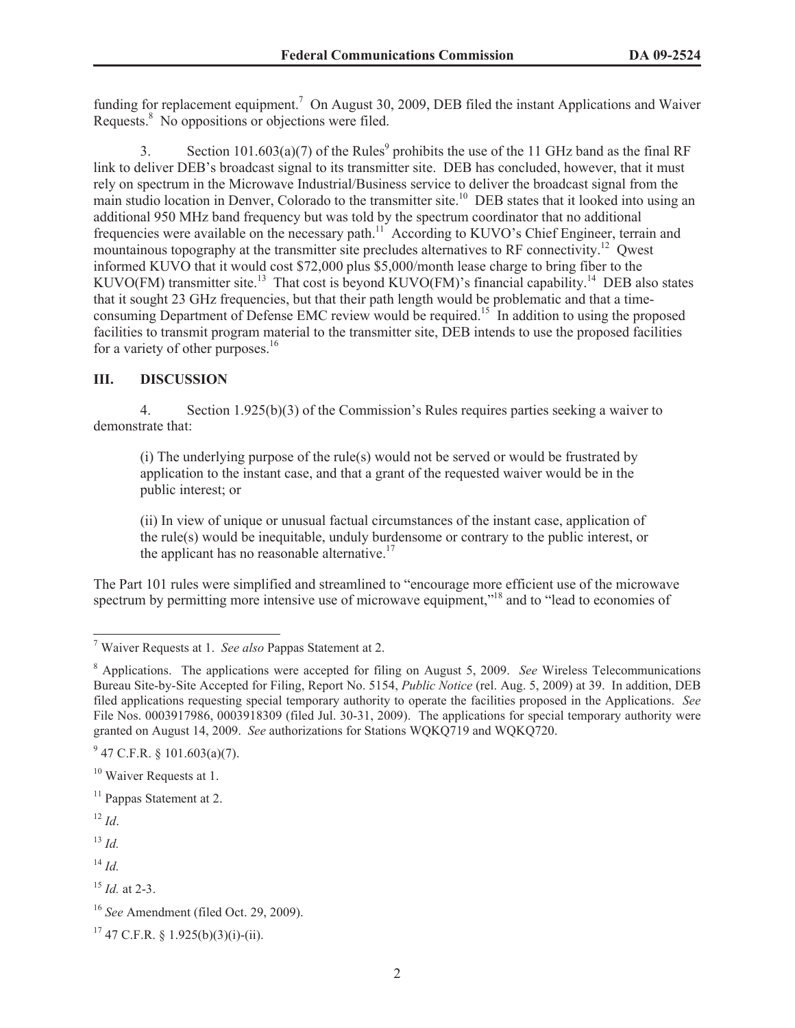funding for replacement equipment.<sup>7</sup> On August 30, 2009, DEB filed the instant Applications and Waiver Requests.<sup>8</sup> No oppositions or objections were filed.

3. Section  $101.603(a)(7)$  of the Rules<sup>9</sup> prohibits the use of the 11 GHz band as the final RF link to deliver DEB's broadcast signal to its transmitter site. DEB has concluded, however, that it must rely on spectrum in the Microwave Industrial/Business service to deliver the broadcast signal from the main studio location in Denver, Colorado to the transmitter site.<sup>10</sup> DEB states that it looked into using an additional 950 MHz band frequency but was told by the spectrum coordinator that no additional frequencies were available on the necessary path.<sup>11</sup> According to KUVO's Chief Engineer, terrain and mountainous topography at the transmitter site precludes alternatives to RF connectivity.<sup>12</sup> Qwest informed KUVO that it would cost \$72,000 plus \$5,000/month lease charge to bring fiber to the KUVO(FM) transmitter site.<sup>13</sup> That cost is beyond KUVO(FM)'s financial capability.<sup>14</sup> DEB also states that it sought 23 GHz frequencies, but that their path length would be problematic and that a timeconsuming Department of Defense EMC review would be required.<sup>15</sup> In addition to using the proposed facilities to transmit program material to the transmitter site, DEB intends to use the proposed facilities for a variety of other purposes.<sup>16</sup>

# **III. DISCUSSION**

4. Section 1.925(b)(3) of the Commission's Rules requires parties seeking a waiver to demonstrate that:

(i) The underlying purpose of the rule(s) would not be served or would be frustrated by application to the instant case, and that a grant of the requested waiver would be in the public interest; or

(ii) In view of unique or unusual factual circumstances of the instant case, application of the rule(s) would be inequitable, unduly burdensome or contrary to the public interest, or the applicant has no reasonable alternative. $17$ 

The Part 101 rules were simplified and streamlined to "encourage more efficient use of the microwave spectrum by permitting more intensive use of microwave equipment,"<sup>18</sup> and to "lead to economies of

<sup>13</sup> *Id.*

<sup>14</sup> *Id.*

<sup>7</sup> Waiver Requests at 1. *See also* Pappas Statement at 2.

<sup>8</sup> Applications. The applications were accepted for filing on August 5, 2009. *See* Wireless Telecommunications Bureau Site-by-Site Accepted for Filing, Report No. 5154, *Public Notice* (rel. Aug. 5, 2009) at 39. In addition, DEB filed applications requesting special temporary authority to operate the facilities proposed in the Applications. *See* File Nos. 0003917986, 0003918309 (filed Jul. 30-31, 2009). The applications for special temporary authority were granted on August 14, 2009. *See* authorizations for Stations WQKQ719 and WQKQ720.

 $9^9$  47 C.F.R. § 101.603(a)(7).

<sup>&</sup>lt;sup>10</sup> Waiver Requests at 1.

 $11$  Pappas Statement at 2.

<sup>12</sup> *Id*.

<sup>15</sup> *Id.* at 2-3.

<sup>16</sup> *See* Amendment (filed Oct. 29, 2009).

 $17$  47 C.F.R. § 1.925(b)(3)(i)-(ii).